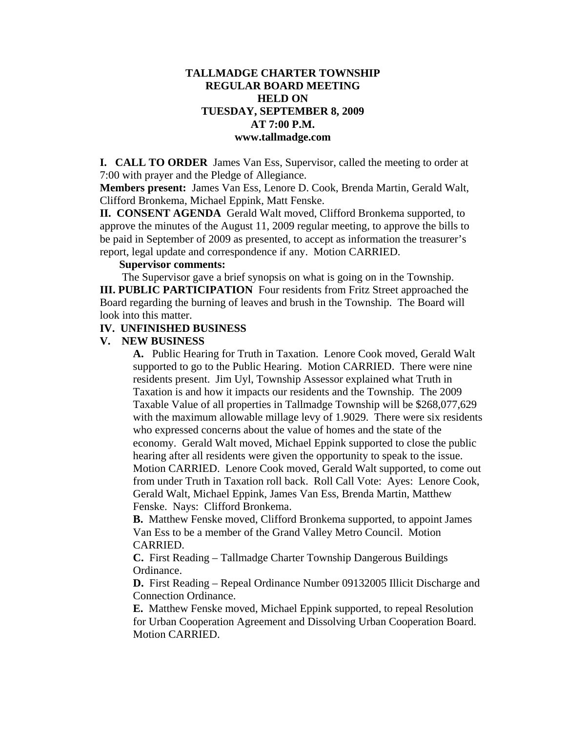## **TALLMADGE CHARTER TOWNSHIP REGULAR BOARD MEETING HELD ON TUESDAY, SEPTEMBER 8, 2009 AT 7:00 P.M. www.tallmadge.com**

**I. CALL TO ORDER** James Van Ess, Supervisor, called the meeting to order at 7:00 with prayer and the Pledge of Allegiance.

**Members present:** James Van Ess, Lenore D. Cook, Brenda Martin, Gerald Walt, Clifford Bronkema, Michael Eppink, Matt Fenske.

**II. CONSENT AGENDA** Gerald Walt moved, Clifford Bronkema supported, to approve the minutes of the August 11, 2009 regular meeting, to approve the bills to be paid in September of 2009 as presented, to accept as information the treasurer's report, legal update and correspondence if any. Motion CARRIED.

## **Supervisor comments:**

The Supervisor gave a brief synopsis on what is going on in the Township.

**III. PUBLIC PARTICIPATION** Four residents from Fritz Street approached the Board regarding the burning of leaves and brush in the Township. The Board will look into this matter.

#### **IV. UNFINISHED BUSINESS**

#### **V. NEW BUSINESS**

**A.** Public Hearing for Truth in Taxation. Lenore Cook moved, Gerald Walt supported to go to the Public Hearing. Motion CARRIED. There were nine residents present. Jim Uyl, Township Assessor explained what Truth in Taxation is and how it impacts our residents and the Township. The 2009 Taxable Value of all properties in Tallmadge Township will be \$268,077,629 with the maximum allowable millage levy of 1.9029. There were six residents who expressed concerns about the value of homes and the state of the economy. Gerald Walt moved, Michael Eppink supported to close the public hearing after all residents were given the opportunity to speak to the issue. Motion CARRIED. Lenore Cook moved, Gerald Walt supported, to come out from under Truth in Taxation roll back. Roll Call Vote: Ayes: Lenore Cook, Gerald Walt, Michael Eppink, James Van Ess, Brenda Martin, Matthew Fenske. Nays: Clifford Bronkema.

**B.** Matthew Fenske moved, Clifford Bronkema supported, to appoint James Van Ess to be a member of the Grand Valley Metro Council. Motion CARRIED.

**C.** First Reading – Tallmadge Charter Township Dangerous Buildings Ordinance.

**D.** First Reading – Repeal Ordinance Number 09132005 Illicit Discharge and Connection Ordinance.

**E.** Matthew Fenske moved, Michael Eppink supported, to repeal Resolution for Urban Cooperation Agreement and Dissolving Urban Cooperation Board. Motion CARRIED.